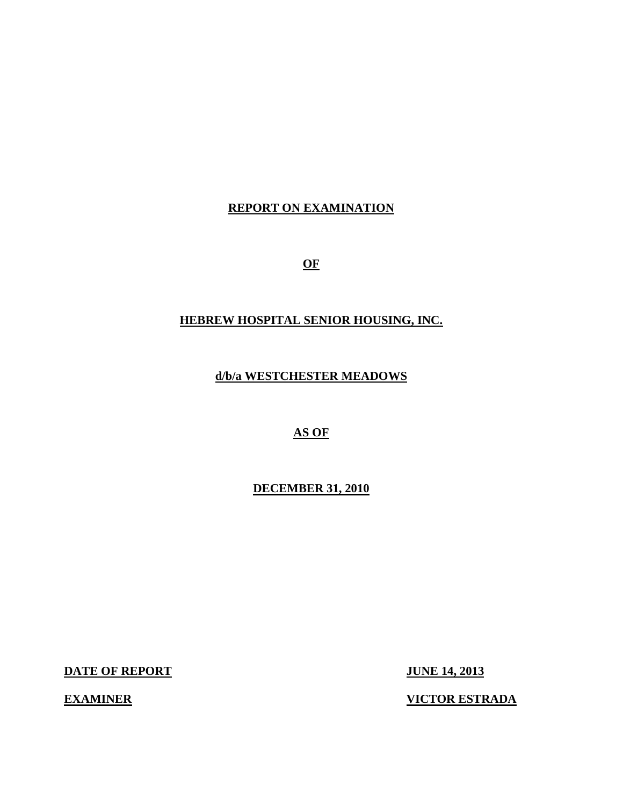# **REPORT ON EXAMINATION**

**OF** 

# **HEBREW HOSPITAL SENIOR HOUSING, INC.**

**d/b/a WESTCHESTER MEADOWS** 

**AS OF** 

**DECEMBER 31, 2010** 

**DATE OF REPORT JUNE 14, 2013** 

**EXAMINER VICTOR ESTRADA**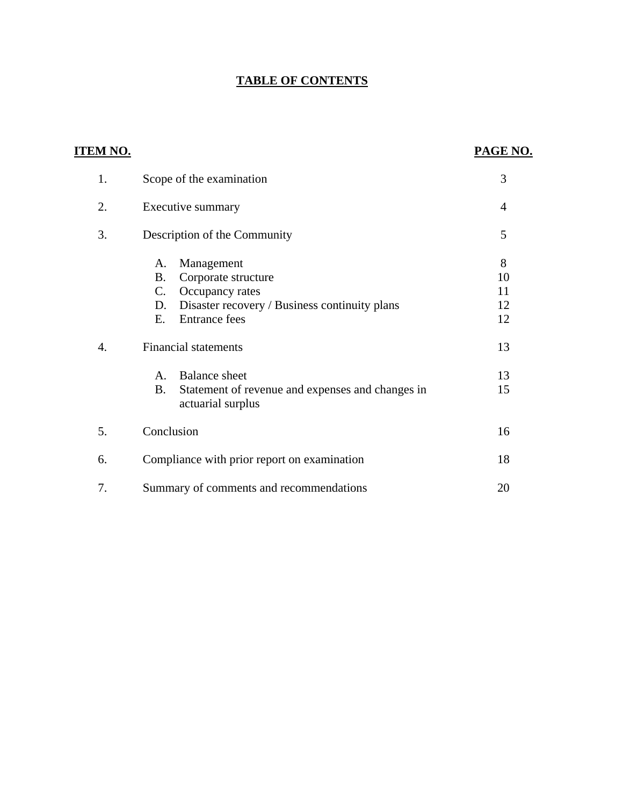# **TABLE OF CONTENTS**

| <u>ITEM NO.</u> |                                                                                    | PAGE NO. |
|-----------------|------------------------------------------------------------------------------------|----------|
| 1.              | Scope of the examination                                                           | 3        |
| 2.              | Executive summary                                                                  | 4        |
| 3.              | Description of the Community                                                       | 5        |
|                 | Management<br>A.<br><b>B.</b><br>Corporate structure                               | 8<br>10  |
|                 | $C$ .<br>Occupancy rates                                                           | 11       |
|                 | D.<br>Disaster recovery / Business continuity plans                                | 12       |
|                 | <b>Entrance fees</b><br>Ε.                                                         | 12       |
| 4.              | <b>Financial statements</b>                                                        | 13       |
|                 | <b>Balance</b> sheet<br>A.                                                         | 13       |
|                 | <b>B.</b><br>Statement of revenue and expenses and changes in<br>actuarial surplus | 15       |
| 5.              | Conclusion                                                                         | 16       |
| 6.              | Compliance with prior report on examination                                        | 18       |
| 7.              | Summary of comments and recommendations                                            | 20       |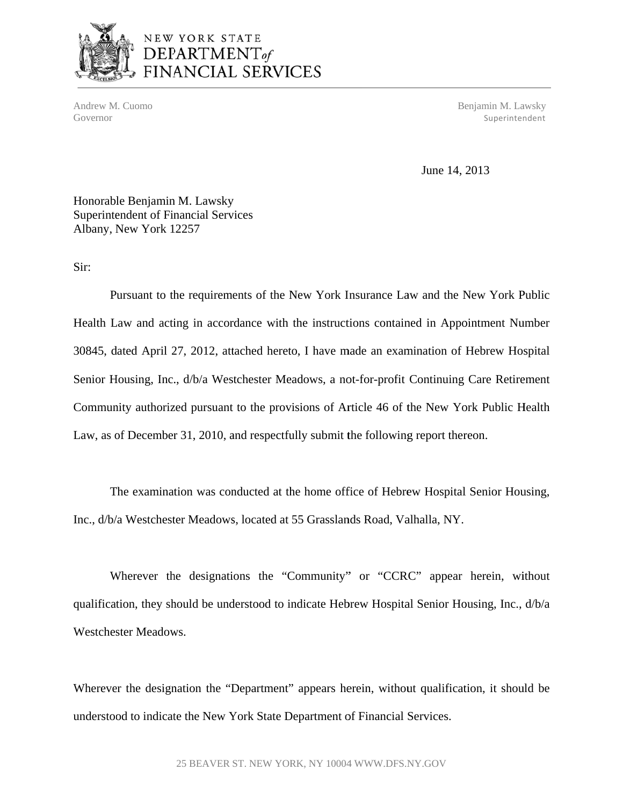

# NEW YORK STATE DEPARTMENT<sub>of</sub> FINANCIAL SERVICES

Andrew M. Cuomo Benjamin M. Lawsky Governor Superintendent Superintendent Superintendent Superintendent Superintendent Superintendent Superintendent Superintendent Superintendent Superintendent Superintendent Superintendent Superintendent Superintendent Sup

June 14, 2013

Honorable Benjamin M. Lawsky Superintendent of Financial Services Albany, New York 12257

Sir:

Pursuant to the requirements of the New York Insurance Law and the New York Public Health Law and acting in accordance with the instructions contained in Appointment Number 30845, dated April 27, 2012, attached hereto, I have made an examination of Hebrew Hospital Senior Housing, Inc., d/b/a Westchester Meadows, a not-for-profit Continuing Care Retirement Community authorized pursuant to the provisions of Article 46 of the New York Public Health Law, as of December 31, 2010, and respectfully submit the following report thereon.

The examination was conducted at the home office of Hebrew Hospital Senior Housing, Inc., d/b/a Westchester Meadows, located at 55 Grasslands Road, Valhalla, NY.

Wherever the designations the "Community" or "CCRC" appear herein, without qualification, they should be understood to indicate Hebrew Hospital Senior Housing, Inc., d/b/a Westchester Meadows.

Wherever the designation the "Department" appears herein, without qualification, it should be understood to indicate the New York State Department of Financial Services.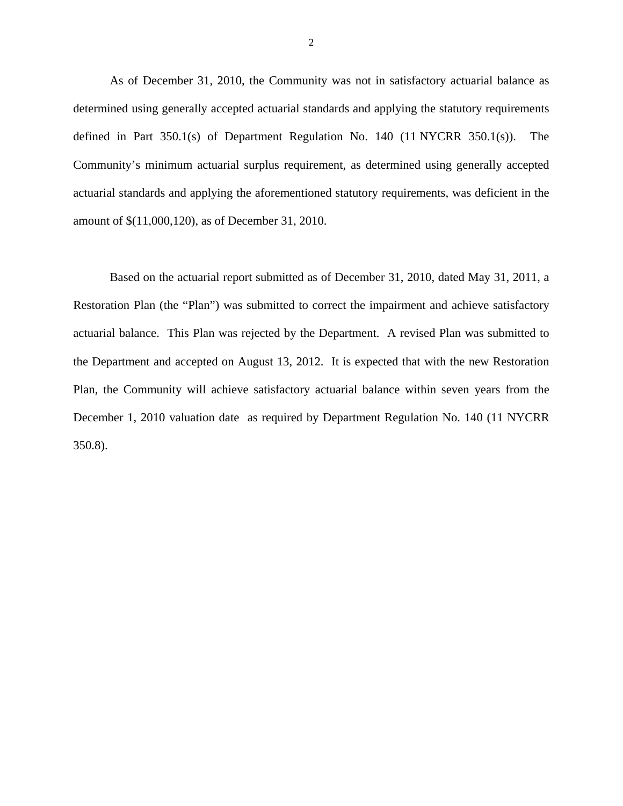As of December 31, 2010, the Community was not in satisfactory actuarial balance as determined using generally accepted actuarial standards and applying the statutory requirements defined in Part 350.1(s) of Department Regulation No. 140 (11 NYCRR 350.1(s)). The Community's minimum actuarial surplus requirement, as determined using generally accepted actuarial standards and applying the aforementioned statutory requirements, was deficient in the amount of \$(11,000,120), as of December 31, 2010.

Based on the actuarial report submitted as of December 31, 2010, dated May 31, 2011, a Restoration Plan (the "Plan") was submitted to correct the impairment and achieve satisfactory actuarial balance. This Plan was rejected by the Department. A revised Plan was submitted to the Department and accepted on August 13, 2012. It is expected that with the new Restoration Plan, the Community will achieve satisfactory actuarial balance within seven years from the December 1, 2010 valuation date as required by Department Regulation No. 140 (11 NYCRR 350.8).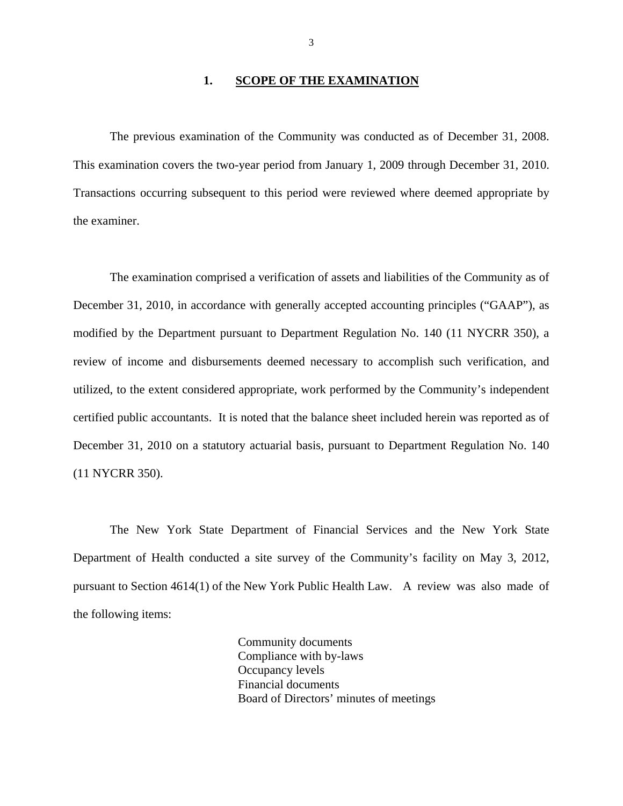#### **1. SCOPE OF THE EXAMINATION**

This examination covers the two-year period from January 1, 2009 through December 31, 2010. The previous examination of the Community was conducted as of December 31, 2008. Transactions occurring subsequent to this period were reviewed where deemed appropriate by the examiner.

The examination comprised a verification of assets and liabilities of the Community as of December 31, 2010, in accordance with generally accepted accounting principles ("GAAP"), as modified by the Department pursuant to Department Regulation No. 140 (11 NYCRR 350), a review of income and disbursements deemed necessary to accomplish such verification, and utilized, to the extent considered appropriate, work performed by the Community's independent certified public accountants. It is noted that the balance sheet included herein was reported as of December 31, 2010 on a statutory actuarial basis, pursuant to Department Regulation No. 140 (11 NYCRR 350).

The New York State Department of Financial Services and the New York State Department of Health conducted a site survey of the Community's facility on May 3, 2012, pursuant to Section 4614(1) of the New York Public Health Law. A review was also made of the following items:

> Community documents Compliance with by-laws Occupancy levels Financial documents Board of Directors' minutes of meetings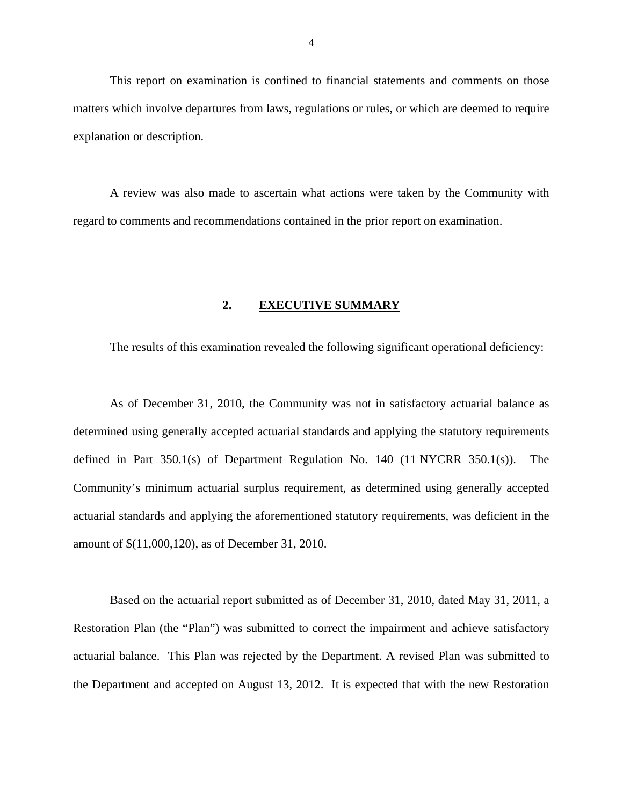<span id="page-5-0"></span>This report on examination is confined to financial statements and comments on those matters which involve departures from laws, regulations or rules, or which are deemed to require explanation or description.

A review was also made to ascertain what actions were taken by the Community with regard to comments and recommendations contained in the prior report on examination.

#### **2. EXECUTIVE SUMMARY**

The results of this examination revealed the following significant operational deficiency:

As of December 31, 2010, the Community was not in satisfactory actuarial balance as determined using generally accepted actuarial standards and applying the statutory requirements defined in Part 350.1(s) of Department Regulation No. 140 (11 NYCRR 350.1(s)). The Community's minimum actuarial surplus requirement, as determined using generally accepted actuarial standards and applying the aforementioned statutory requirements, was deficient in the amount of \$(11,000,120), as of December 31, 2010.

Based on the actuarial report submitted as of December 31, 2010, dated May 31, 2011, a Restoration Plan (the "Plan") was submitted to correct the impairment and achieve satisfactory actuarial balance. This Plan was rejected by the Department. A revised Plan was submitted to the Department and accepted on August 13, 2012. It is expected that with the new Restoration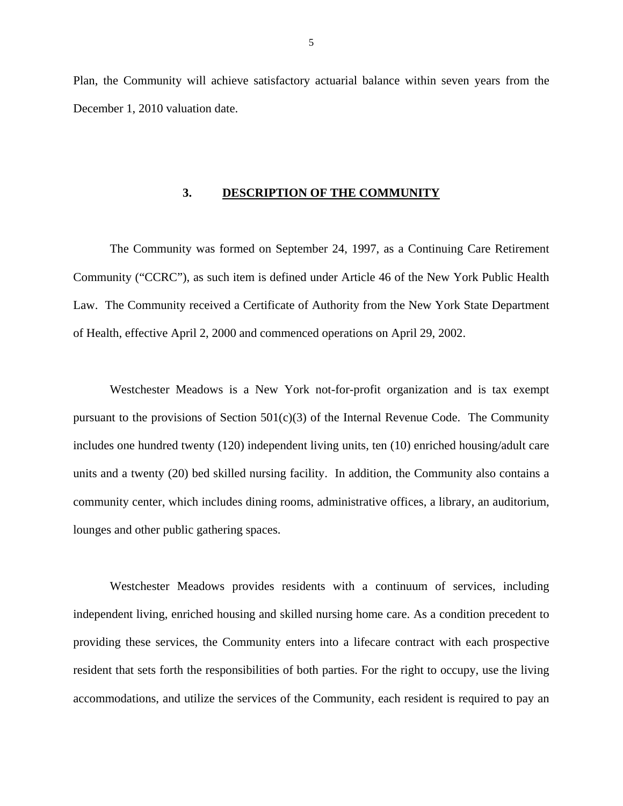<span id="page-6-0"></span>Plan, the Community will achieve satisfactory actuarial balance within seven years from the December 1, 2010 valuation date.

#### **3. DESCRIPTION OF THE COMMUNITY**

The Community was formed on September 24, 1997, as a Continuing Care Retirement Community ("CCRC"), as such item is defined under Article 46 of the New York Public Health Law. The Community received a Certificate of Authority from the New York State Department of Health, effective April 2, 2000 and commenced operations on April 29, 2002.

Westchester Meadows is a New York not-for-profit organization and is tax exempt pursuant to the provisions of Section  $501(c)(3)$  of the Internal Revenue Code. The Community includes one hundred twenty (120) independent living units, ten (10) enriched housing/adult care units and a twenty (20) bed skilled nursing facility. In addition, the Community also contains a community center, which includes dining rooms, administrative offices, a library, an auditorium, lounges and other public gathering spaces.

Westchester Meadows provides residents with a continuum of services, including independent living, enriched housing and skilled nursing home care. As a condition precedent to providing these services, the Community enters into a lifecare contract with each prospective resident that sets forth the responsibilities of both parties. For the right to occupy, use the living accommodations, and utilize the services of the Community, each resident is required to pay an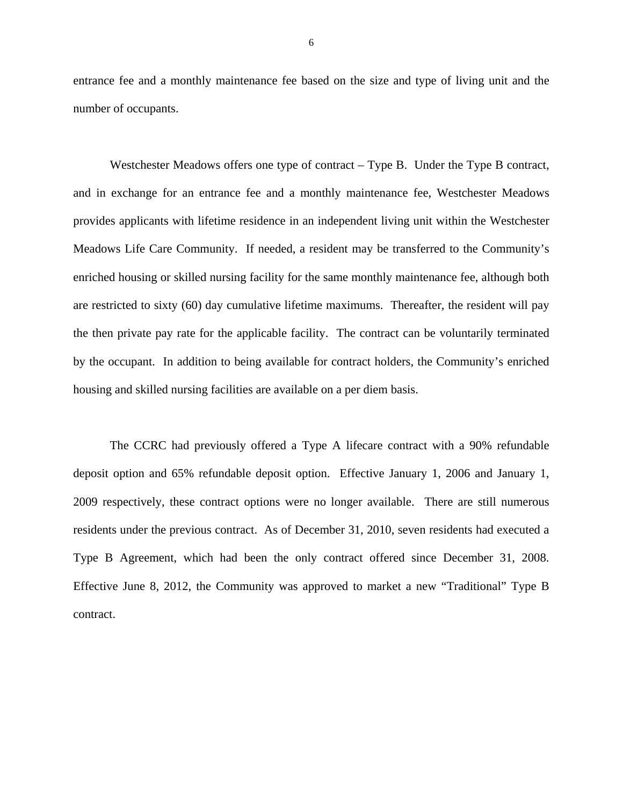entrance fee and a monthly maintenance fee based on the size and type of living unit and the number of occupants.

Westchester Meadows offers one type of contract – Type B. Under the Type B contract, and in exchange for an entrance fee and a monthly maintenance fee, Westchester Meadows provides applicants with lifetime residence in an independent living unit within the Westchester Meadows Life Care Community. If needed, a resident may be transferred to the Community's enriched housing or skilled nursing facility for the same monthly maintenance fee, although both are restricted to sixty (60) day cumulative lifetime maximums. Thereafter, the resident will pay the then private pay rate for the applicable facility. The contract can be voluntarily terminated by the occupant. In addition to being available for contract holders, the Community's enriched housing and skilled nursing facilities are available on a per diem basis.

The CCRC had previously offered a Type A lifecare contract with a 90% refundable deposit option and 65% refundable deposit option. Effective January 1, 2006 and January 1, 2009 respectively, these contract options were no longer available. There are still numerous residents under the previous contract. As of December 31, 2010, seven residents had executed a Type B Agreement, which had been the only contract offered since December 31, 2008. Effective June 8, 2012, the Community was approved to market a new "Traditional" Type B contract.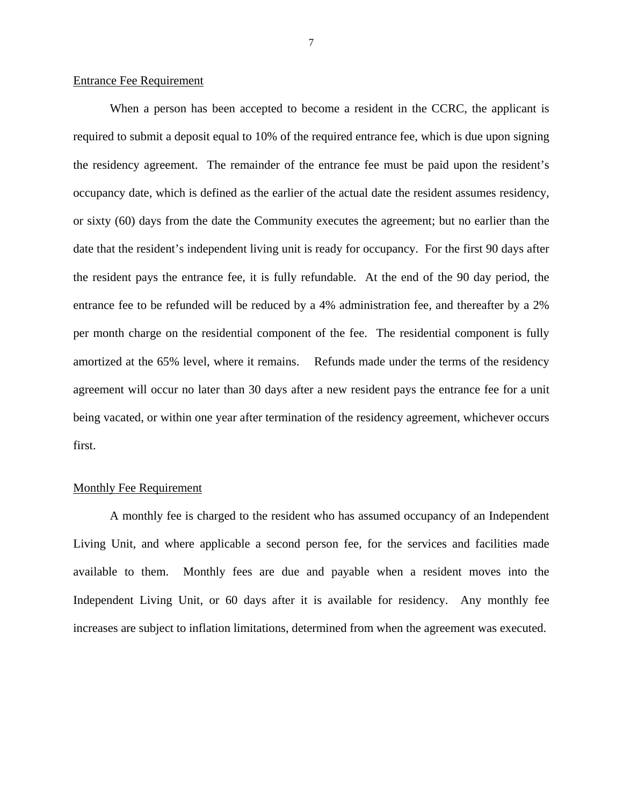#### Entrance Fee Requirement

When a person has been accepted to become a resident in the CCRC, the applicant is required to submit a deposit equal to 10% of the required entrance fee, which is due upon signing the residency agreement. The remainder of the entrance fee must be paid upon the resident's occupancy date, which is defined as the earlier of the actual date the resident assumes residency, or sixty (60) days from the date the Community executes the agreement; but no earlier than the date that the resident's independent living unit is ready for occupancy. For the first 90 days after the resident pays the entrance fee, it is fully refundable. At the end of the 90 day period, the entrance fee to be refunded will be reduced by a 4% administration fee, and thereafter by a 2% per month charge on the residential component of the fee. The residential component is fully amortized at the 65% level, where it remains. Refunds made under the terms of the residency agreement will occur no later than 30 days after a new resident pays the entrance fee for a unit being vacated, or within one year after termination of the residency agreement, whichever occurs first.

#### Monthly Fee Requirement

A monthly fee is charged to the resident who has assumed occupancy of an Independent Living Unit, and where applicable a second person fee, for the services and facilities made available to them. Monthly fees are due and payable when a resident moves into the Independent Living Unit, or 60 days after it is available for residency. Any monthly fee increases are subject to inflation limitations, determined from when the agreement was executed.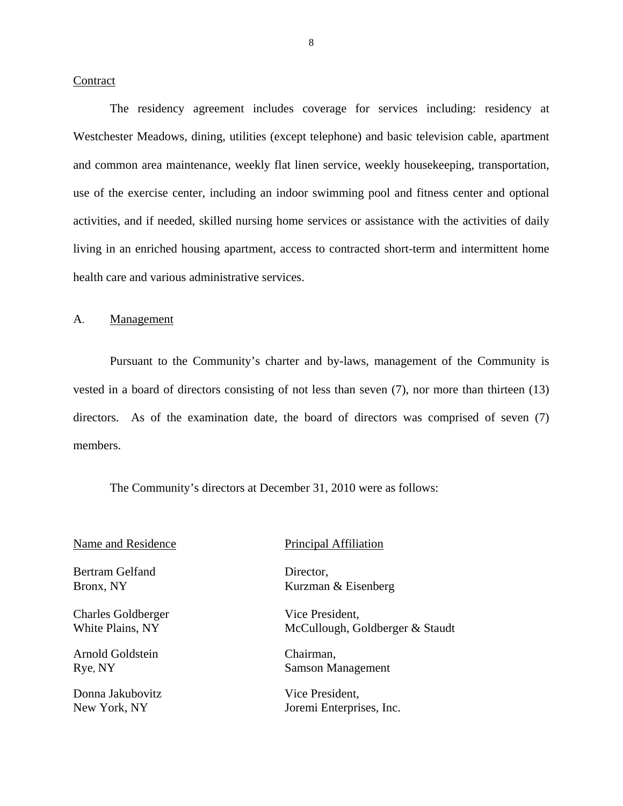#### <span id="page-9-0"></span>**Contract**

The residency agreement includes coverage for services including: residency at Westchester Meadows, dining, utilities (except telephone) and basic television cable, apartment and common area maintenance, weekly flat linen service, weekly housekeeping, transportation, use of the exercise center, including an indoor swimming pool and fitness center and optional activities, and if needed, skilled nursing home services or assistance with the activities of daily living in an enriched housing apartment, access to contracted short-term and intermittent home health care and various administrative services.

#### A. Management

Pursuant to the Community's charter and by-laws, management of the Community is vested in a board of directors consisting of not less than seven (7), nor more than thirteen (13) directors. As of the examination date, the board of directors was comprised of seven (7) members.

The Community's directors at December 31, 2010 were as follows:

Bertram Gelfand Director,

Charles Goldberger Vice President,

Arnold Goldstein Chairman,

Donna Jakubovitz Vice President,

#### Name and Residence Principal Affiliation

Bronx, NY Kurzman & Eisenberg

White Plains, NY McCullough, Goldberger & Staudt

Rye, NY Samson Management

New York, NY Joremi Enterprises, Inc.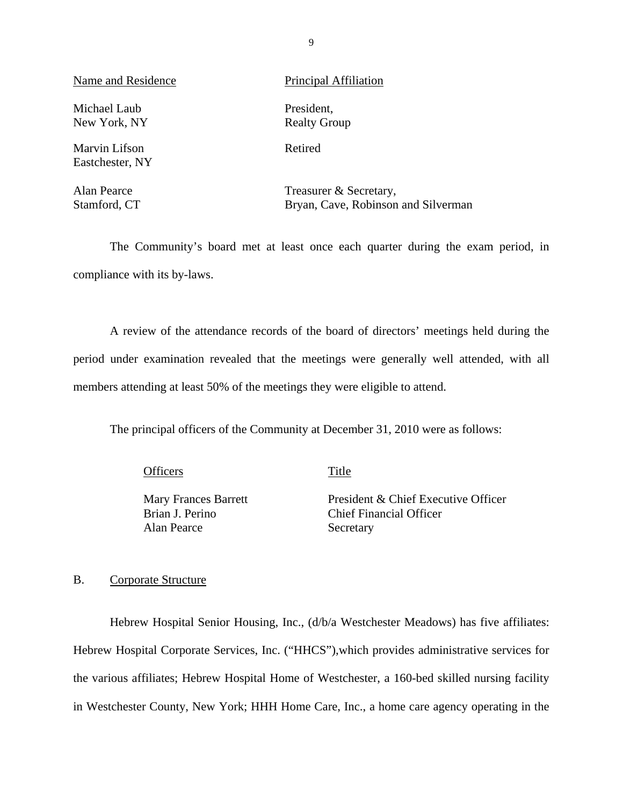Name and Residence Principal Affiliation

Michael Laub President, New York, NY Realty Group

Marvin Lifson Retired Eastchester, NY

Alan Pearce Treasurer & Secretary, Stamford, CT Bryan, Cave, Robinson and Silverman

The Community's board met at least once each quarter during the exam period, in compliance with its by-laws.

A review of the attendance records of the board of directors' meetings held during the period under examination revealed that the meetings were generally well attended, with all members attending at least 50% of the meetings they were eligible to attend.

The principal officers of the Community at December 31, 2010 were as follows:

Officers Title

Brian J. Perino

Mary Frances Barrett President & Chief Executive Officer Chief Financial Officer Alan Pearce Secretary

### B. Corporate Structure

Hebrew Hospital Senior Housing, Inc., (d/b/a Westchester Meadows) has five affiliates: Hebrew Hospital Corporate Services, Inc. ("HHCS"),which provides administrative services for the various affiliates; Hebrew Hospital Home of Westchester, a 160-bed skilled nursing facility in Westchester County, New York; HHH Home Care, Inc., a home care agency operating in the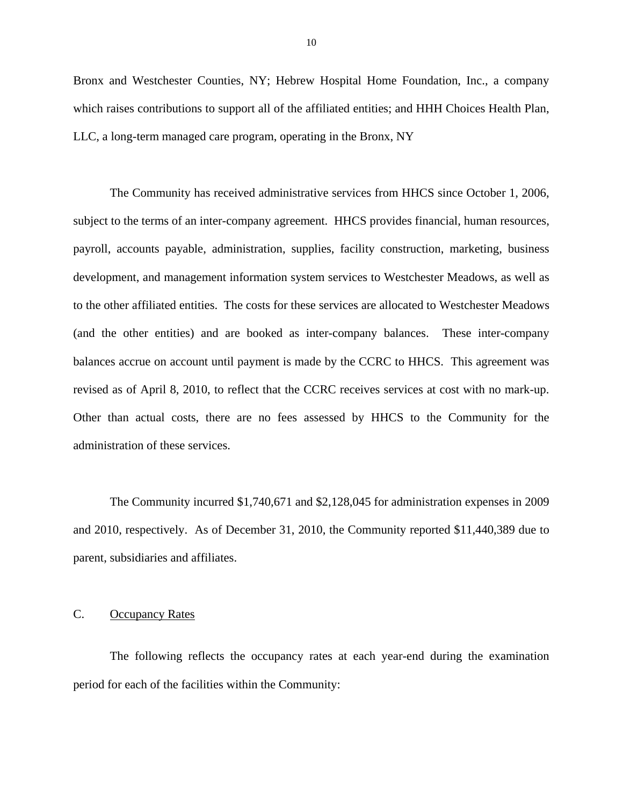<span id="page-11-0"></span>Bronx and Westchester Counties, NY; Hebrew Hospital Home Foundation, Inc., a company which raises contributions to support all of the affiliated entities; and HHH Choices Health Plan, LLC, a long-term managed care program, operating in the Bronx, NY

revised as of April 8, 2010, to reflect that the CCRC receives services at cost with no mark-up. The Community has received administrative services from HHCS since October 1, 2006, subject to the terms of an inter-company agreement. HHCS provides financial, human resources, payroll, accounts payable, administration, supplies, facility construction, marketing, business development, and management information system services to Westchester Meadows, as well as to the other affiliated entities. The costs for these services are allocated to Westchester Meadows (and the other entities) and are booked as inter-company balances. These inter-company balances accrue on account until payment is made by the CCRC to HHCS. This agreement was Other than actual costs, there are no fees assessed by HHCS to the Community for the administration of these services.

The Community incurred \$1,740,671 and \$2,128,045 for administration expenses in 2009 and 2010, respectively. As of December 31, 2010, the Community reported \$11,440,389 due to parent, subsidiaries and affiliates.

#### C. Occupancy Rates

The following reflects the occupancy rates at each year-end during the examination period for each of the facilities within the Community: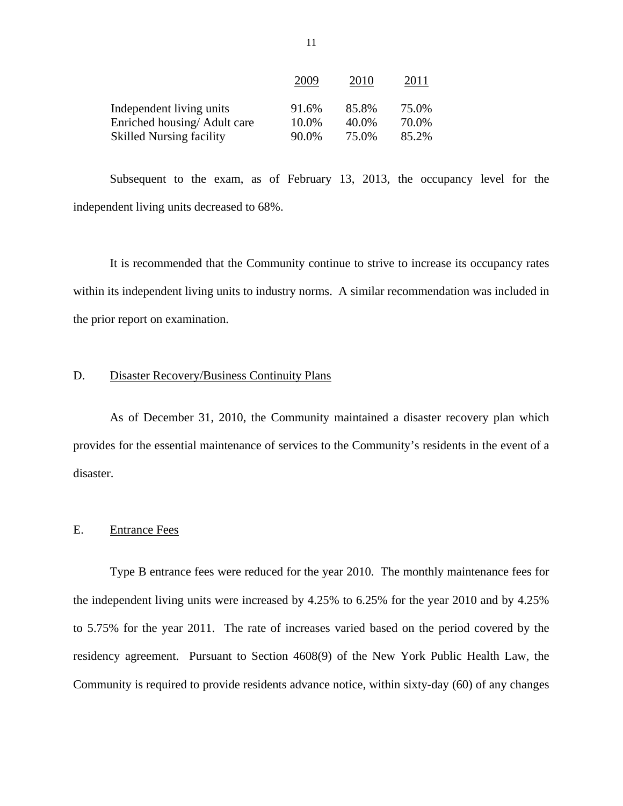|                                 | 2009  | 2010  | 2011  |
|---------------------------------|-------|-------|-------|
| Independent living units        | 91.6% | 85.8% | 75.0% |
| Enriched housing/Adult care     | 10.0% | 40.0% | 70.0% |
| <b>Skilled Nursing facility</b> | 90.0% | 75.0% | 85.2% |

Subsequent to the exam, as of February 13, 2013, the occupancy level for the independent living units decreased to 68%.

It is recommended that the Community continue to strive to increase its occupancy rates within its independent living units to industry norms. A similar recommendation was included in the prior report on examination.

### D. Disaster Recovery/Business Continuity Plans

As of December 31, 2010, the Community maintained a disaster recovery plan which provides for the essential maintenance of services to the Community's residents in the event of a disaster.

#### E. Entrance Fees

Type B entrance fees were reduced for the year 2010. The monthly maintenance fees for the independent living units were increased by 4.25% to 6.25% for the year 2010 and by 4.25% to 5.75% for the year 2011. The rate of increases varied based on the period covered by the residency agreement. Pursuant to Section 4608(9) of the New York Public Health Law, the Community is required to provide residents advance notice, within sixty-day (60) of any changes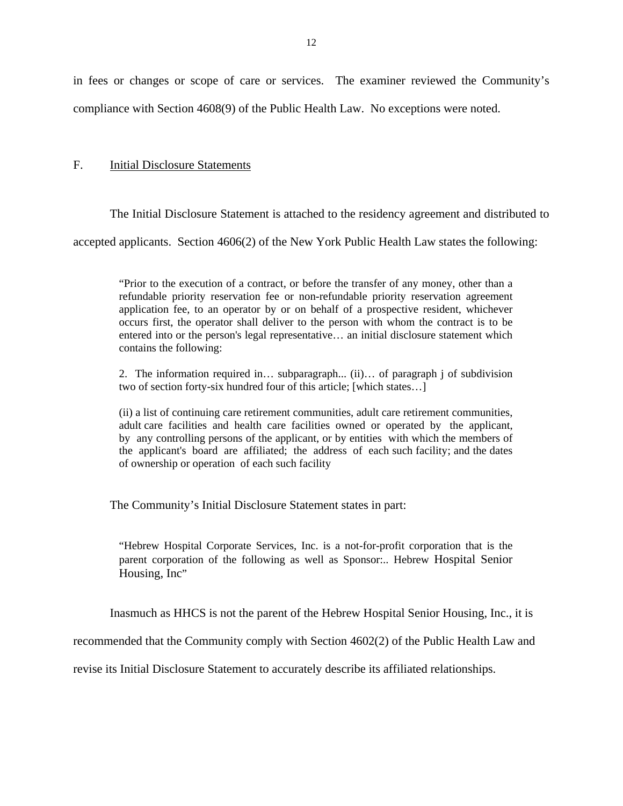<span id="page-13-0"></span>in fees or changes or scope of care or services. The examiner reviewed the Community's compliance with Section 4608(9) of the Public Health Law. No exceptions were noted.

#### F. Initial Disclosure Statements

The Initial Disclosure Statement is attached to the residency agreement and distributed to

accepted applicants. Section 4606(2) of the New York Public Health Law states the following:

"Prior to the execution of a contract, or before the transfer of any money, other than a refundable priority reservation fee or non-refundable priority reservation agreement application fee, to an operator by or on behalf of a prospective resident, whichever occurs first, the operator shall deliver to the person with whom the contract is to be entered into or the person's legal representative… an initial disclosure statement which contains the following:

2. The information required in… subparagraph... (ii)… of paragraph j of subdivision two of section forty-six hundred four of this article; [which states…]

adult care facilities and health care facilities owned or operated by the applicant, (ii) a list of continuing care retirement communities, adult care retirement communities, by any controlling persons of the applicant, or by entities with which the members of the applicant's board are affiliated; the address of each such facility; and the dates of ownership or operation of each such facility

The Community's Initial Disclosure Statement states in part:

"Hebrew Hospital Corporate Services, Inc. is a not-for-profit corporation that is the parent corporation of the following as well as Sponsor:.. Hebrew Hospital Senior Housing, Inc"

Inasmuch as HHCS is not the parent of the Hebrew Hospital Senior Housing, Inc., it is

recommended that the Community comply with Section 4602(2) of the Public Health Law and

revise its Initial Disclosure Statement to accurately describe its affiliated relationships.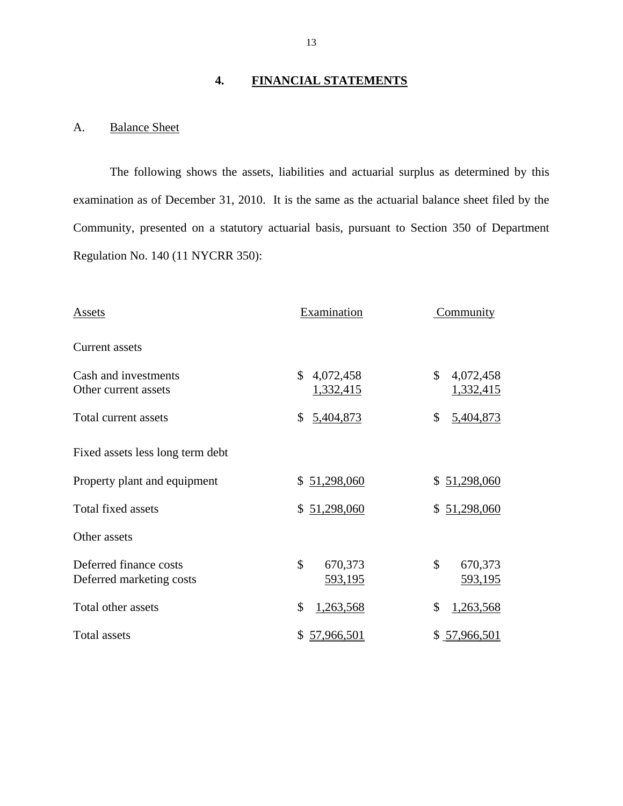# **4. FINANCIAL STATEMENTS**

## A. Balance Sheet

The following shows the assets, liabilities and actuarial surplus as determined by this examination as of December 31, 2010. It is the same as the actuarial balance sheet filed by the Community, presented on a statutory actuarial basis, pursuant to Section 350 of Department Regulation No. 140 (11 NYCRR 350):

| Assets                                             | Examination                     | Community                           |
|----------------------------------------------------|---------------------------------|-------------------------------------|
| Current assets                                     |                                 |                                     |
| Cash and investments<br>Other current assets       | \$4,072,458<br><u>1,332,415</u> | \$<br>4,072,458<br><u>1,332,415</u> |
| Total current assets                               | 5,404,873<br>\$                 | \$<br>5,404,873                     |
| Fixed assets less long term debt                   |                                 |                                     |
| Property plant and equipment                       | \$51,298,060                    | \$51,298,060                        |
| Total fixed assets                                 | \$51,298,060                    | \$51,298,060                        |
| Other assets                                       |                                 |                                     |
| Deferred finance costs<br>Deferred marketing costs | \$<br>670,373<br>593,195        | $\mathbb{S}$<br>670,373<br>593,195  |
| Total other assets                                 | \$<br>1,263,568                 | \$<br>1,263,568                     |
| Total assets                                       | 57,966,501<br>\$                | \$ 57,966,501                       |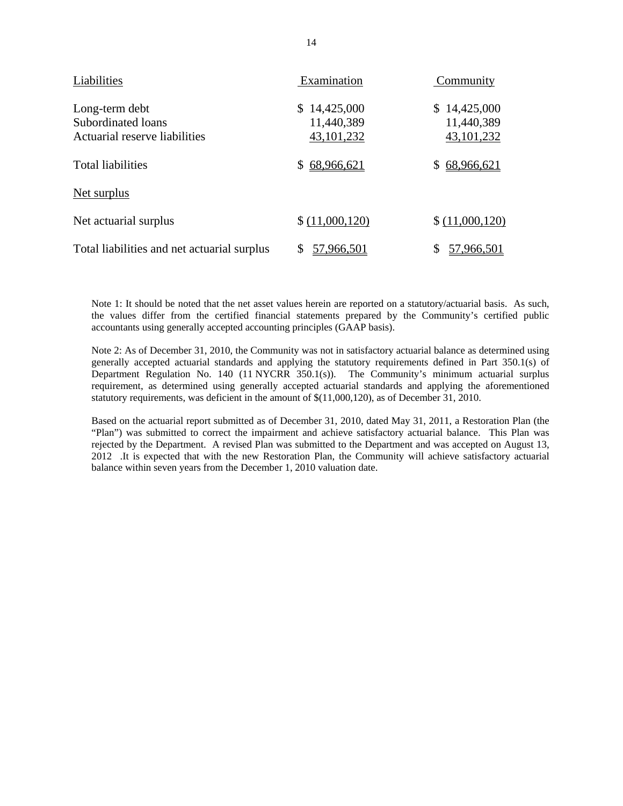| Liabilities                                                           | Examination                                    | Community                                      |
|-----------------------------------------------------------------------|------------------------------------------------|------------------------------------------------|
| Long-term debt<br>Subordinated loans<br>Actuarial reserve liabilities | 14,425,000<br>S.<br>11,440,389<br>43, 101, 232 | 14,425,000<br>S.<br>11,440,389<br>43, 101, 232 |
| <b>Total liabilities</b>                                              | 68,966,621                                     | 68,966,621                                     |
| <u>Net surplus</u>                                                    |                                                |                                                |
| Net actuarial surplus                                                 | \$(11,000,120)                                 | \$(11,000,120)                                 |
| Total liabilities and net actuarial surplus                           | 57,966,501                                     | 57,966,501                                     |

Note 1: It should be noted that the net asset values herein are reported on a statutory/actuarial basis. As such, the values differ from the certified financial statements prepared by the Community's certified public accountants using generally accepted accounting principles (GAAP basis).

 Department Regulation No. 140 (11 NYCRR 350.1(s)). The Community's minimum actuarial surplus Note 2: As of December 31, 2010, the Community was not in satisfactory actuarial balance as determined using generally accepted actuarial standards and applying the statutory requirements defined in Part 350.1(s) of requirement, as determined using generally accepted actuarial standards and applying the aforementioned statutory requirements, was deficient in the amount of  $$(11,000,120)$ , as of December 31, 2010.

 balance within seven years from the December 1, 2010 valuation date. Based on the actuarial report submitted as of December 31, 2010, dated May 31, 2011, a Restoration Plan (the "Plan") was submitted to correct the impairment and achieve satisfactory actuarial balance. This Plan was rejected by the Department. A revised Plan was submitted to the Department and was accepted on August 13, 2012 .It is expected that with the new Restoration Plan, the Community will achieve satisfactory actuarial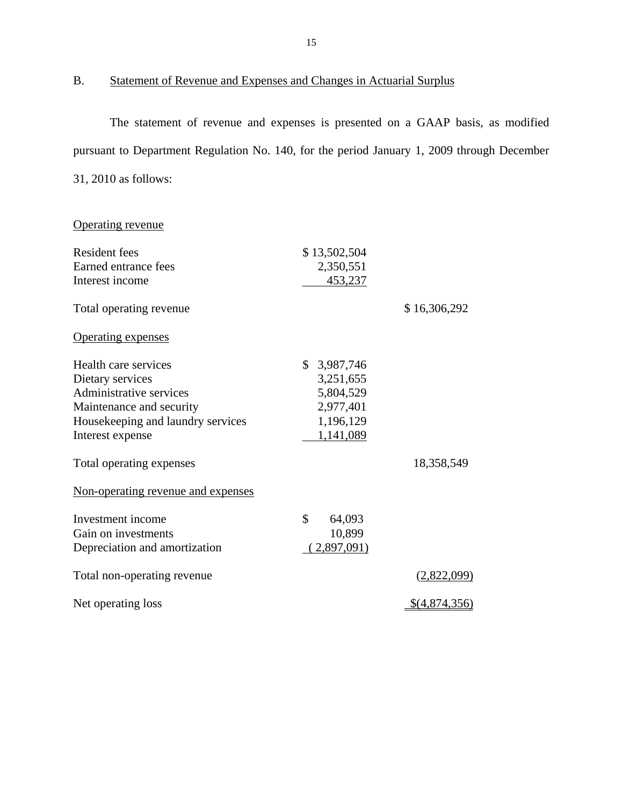B. Statement of Revenue and Expenses and Changes in Actuarial Surplus

The statement of revenue and expenses is presented on a GAAP basis, as modified pursuant to Department Regulation No. 140, for the period January 1, 2009 through December 31, 2010 as follows:

Operating revenue

| <b>Resident fees</b>               | \$13,502,504 |                      |
|------------------------------------|--------------|----------------------|
| Earned entrance fees               | 2,350,551    |                      |
| Interest income                    | 453,237      |                      |
| Total operating revenue            |              | \$16,306,292         |
| <b>Operating expenses</b>          |              |                      |
| Health care services               | \$3,987,746  |                      |
| Dietary services                   | 3,251,655    |                      |
| Administrative services            | 5,804,529    |                      |
| Maintenance and security           | 2,977,401    |                      |
| Housekeeping and laundry services  | 1,196,129    |                      |
| Interest expense                   | 1,141,089    |                      |
| Total operating expenses           |              | 18,358,549           |
| Non-operating revenue and expenses |              |                      |
| Investment income                  | \$<br>64,093 |                      |
| Gain on investments                | 10,899       |                      |
| Depreciation and amortization      | 2,897,091    |                      |
| Total non-operating revenue        |              | <u>(2,822,099)</u>   |
| Net operating loss                 |              | <u>\$(4,874,356)</u> |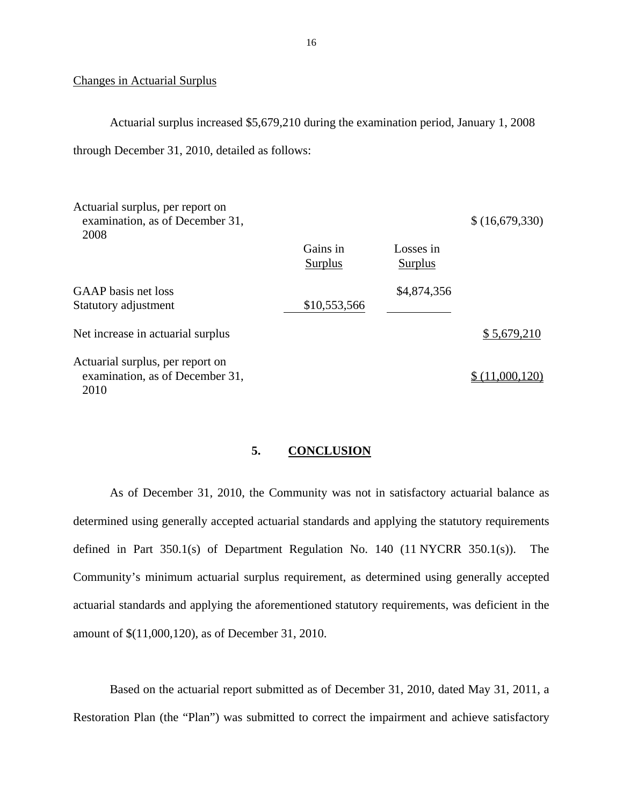#### Changes in Actuarial Surplus

Actuarial surplus increased \$5,679,210 during the examination period, January 1, 2008

through December 31, 2010, detailed as follows:

| Actuarial surplus, per report on<br>examination, as of December 31,<br>2008 |                     |                             | \$ (16,679,330)      |
|-----------------------------------------------------------------------------|---------------------|-----------------------------|----------------------|
|                                                                             | Gains in<br>Surplus | Losses in<br><b>Surplus</b> |                      |
| GAAP basis net loss<br>Statutory adjustment                                 | \$10,553,566        | \$4,874,356                 |                      |
| Net increase in actuarial surplus                                           |                     |                             | \$5,679,210          |
| Actuarial surplus, per report on<br>examination, as of December 31,<br>2010 |                     |                             | (11 <u>,000,120)</u> |

#### **5. CONCLUSION**

As of December 31, 2010, the Community was not in satisfactory actuarial balance as determined using generally accepted actuarial standards and applying the statutory requirements defined in Part 350.1(s) of Department Regulation No. 140 (11 NYCRR 350.1(s)). The Community's minimum actuarial surplus requirement, as determined using generally accepted actuarial standards and applying the aforementioned statutory requirements, was deficient in the amount of \$(11,000,120), as of December 31, 2010.

Based on the actuarial report submitted as of December 31, 2010, dated May 31, 2011, a Restoration Plan (the "Plan") was submitted to correct the impairment and achieve satisfactory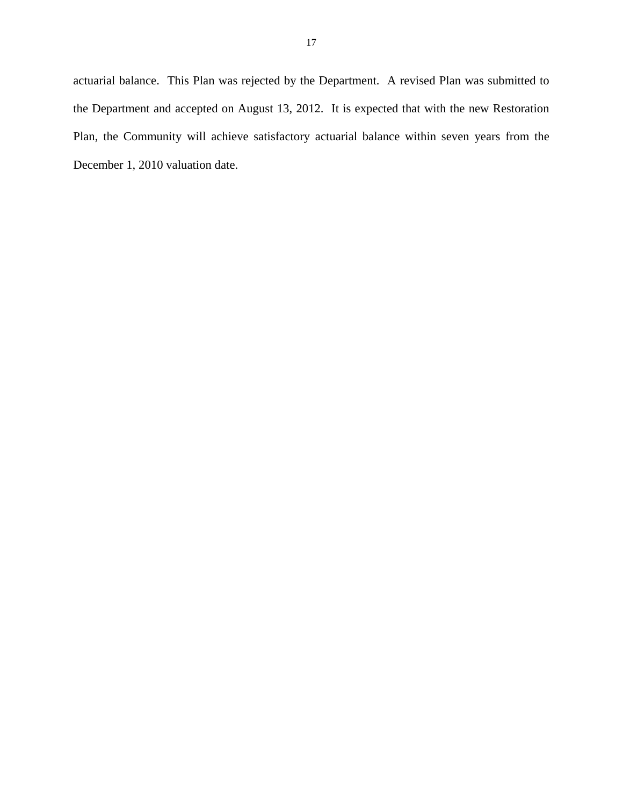actuarial balance. This Plan was rejected by the Department. A revised Plan was submitted to the Department and accepted on August 13, 2012. It is expected that with the new Restoration Plan, the Community will achieve satisfactory actuarial balance within seven years from the December 1, 2010 valuation date.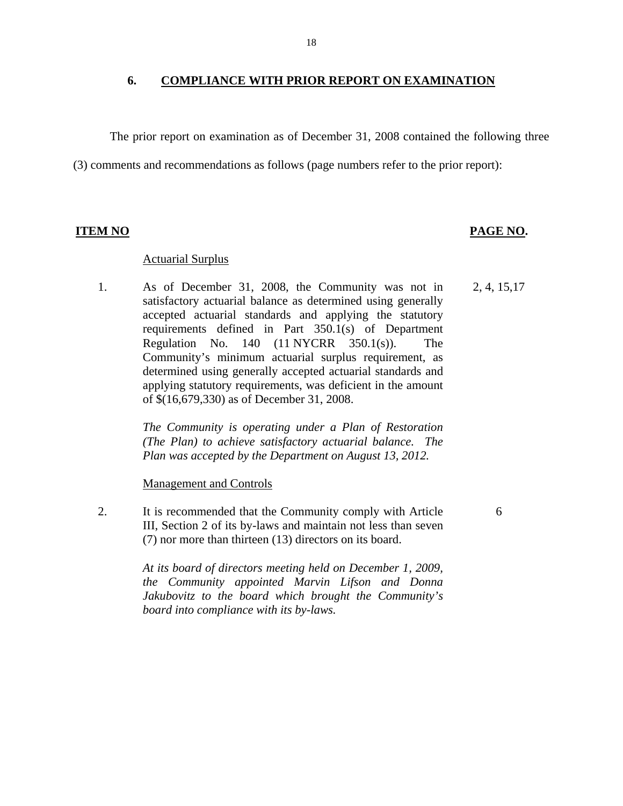#### **6. COMPLIANCE WITH PRIOR REPORT ON EXAMINATION**

The prior report on examination as of December 31, 2008 contained the following three

(3) comments and recommendations as follows (page numbers refer to the prior report):

#### **ITEM NO PAGE NO. PAGE NO.**

#### Actuarial Surplus

1. As of December 31, 2008, the Community was not in satisfactory actuarial balance as determined using generally accepted actuarial standards and applying the statutory requirements defined in Part 350.1(s) of Department Regulation No.  $140$   $(11 \text{ NYCRR}$   $350.1(s)$ . The Community's minimum actuarial surplus requirement, as determined using generally accepted actuarial standards and applying statutory requirements, was deficient in the amount of \$(16,679,330) as of December 31, 2008. 2, 4, 15,17

> *The Community is operating under a Plan of Restoration (The Plan) to achieve satisfactory actuarial balance. The Plan was accepted by the Department on August 13, 2012.*

Management and Controls

2. It is recommended that the Community comply with Article III, Section 2 of its by-laws and maintain not less than seven (7) nor more than thirteen (13) directors on its board.

6

*At its board of directors meeting held on December 1, 2009, the Community appointed Marvin Lifson and Donna Jakubovitz to the board which brought the Community's board into compliance with its by-laws.*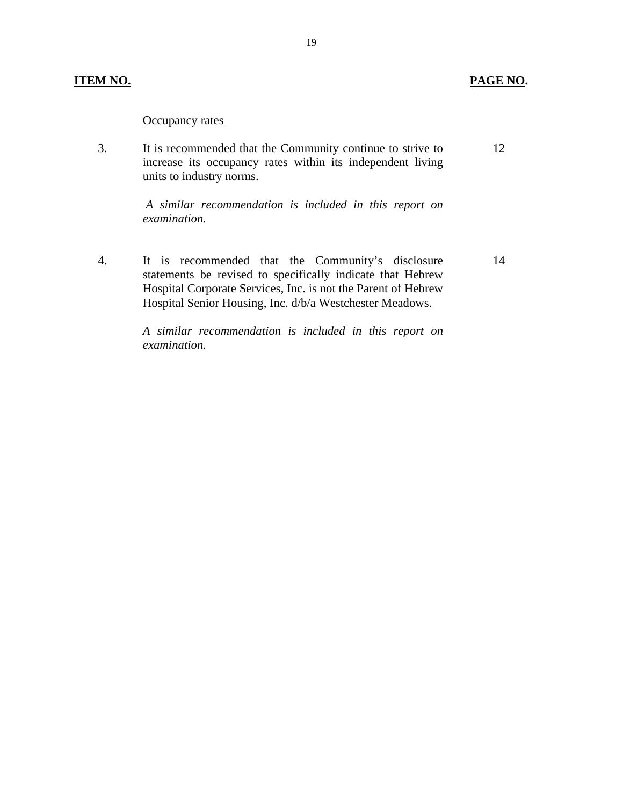#### **ITEM NO. PAGE NO.**

#### Occupancy rates

3. It is recommended that the Community continue to strive to increase its occupancy rates within its independent living units to industry norms. 12

> *A similar recommendation is included in this report on examination.*

4. It is recommended that the Community's disclosure statements be revised to specifically indicate that Hebrew Hospital Corporate Services, Inc. is not the Parent of Hebrew Hospital Senior Housing, Inc. d/b/a Westchester Meadows. 14

> *A similar recommendation is included in this report on examination.*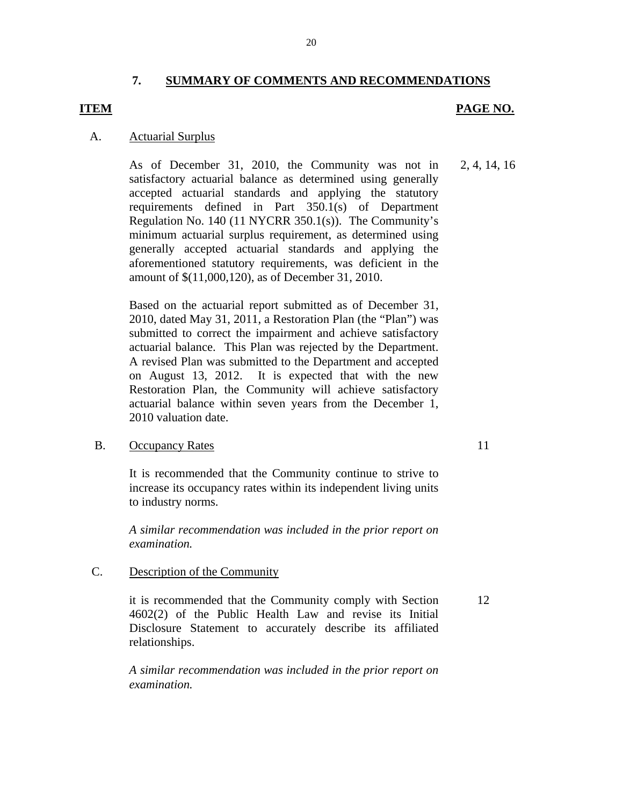#### **7. SUMMARY OF COMMENTS AND RECOMMENDATIONS**

### <span id="page-21-0"></span>**ITEM** PAGE NO.

#### A. Actuarial Surplus

As of December 31, 2010, the Community was not in 2, 4, 14, 16 satisfactory actuarial balance as determined using generally accepted actuarial standards and applying the statutory requirements defined in Part 350.1(s) of Department Regulation No. 140 (11 NYCRR 350.1(s)). The Community's minimum actuarial surplus requirement, as determined using generally accepted actuarial standards and applying the aforementioned statutory requirements, was deficient in the amount of \$(11,000,120), as of December 31, 2010.

Based on the actuarial report submitted as of December 31, 2010, dated May 31, 2011, a Restoration Plan (the "Plan") was submitted to correct the impairment and achieve satisfactory actuarial balance. This Plan was rejected by the Department. A revised Plan was submitted to the Department and accepted on August 13, 2012. It is expected that with the new Restoration Plan, the Community will achieve satisfactory actuarial balance within seven years from the December 1, 2010 valuation date.

#### B. Occupancy Rates 11

It is recommended that the Community continue to strive to increase its occupancy rates within its independent living units to industry norms.

*A similar recommendation was included in the prior report on examination.*

#### C. Description of the Community

it is recommended that the Community comply with Section 12 4602(2) of the Public Health Law and revise its Initial Disclosure Statement to accurately describe its affiliated relationships.

*A similar recommendation was included in the prior report on examination.*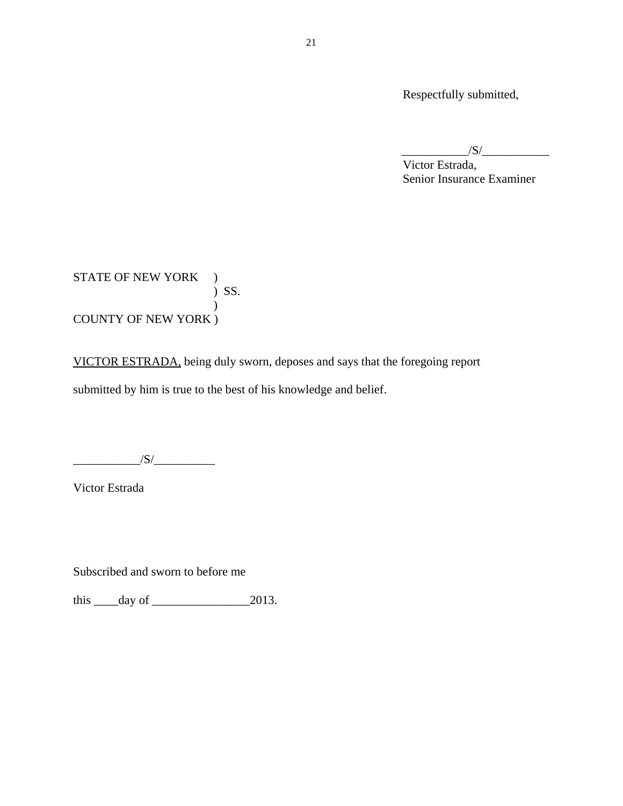Respectfully submitted,

 $/S/\sim$ 

 Victor Estrada, Senior Insurance Examiner

STATE OF NEW YORK ) ) SS. ) COUNTY OF NEW YORK )

VICTOR ESTRADA, being duly sworn, deposes and says that the foregoing report submitted by him is true to the best of his knowledge and belief.

 $\sqrt{S/}$ 

Victor Estrada

Subscribed and sworn to before me

this  $\rule{1em}{0.15mm} \begin{array}{r} \n\text{this} \hspace{1em} \text{days} \\ \n\text{days} \end{array}$  = 2013.